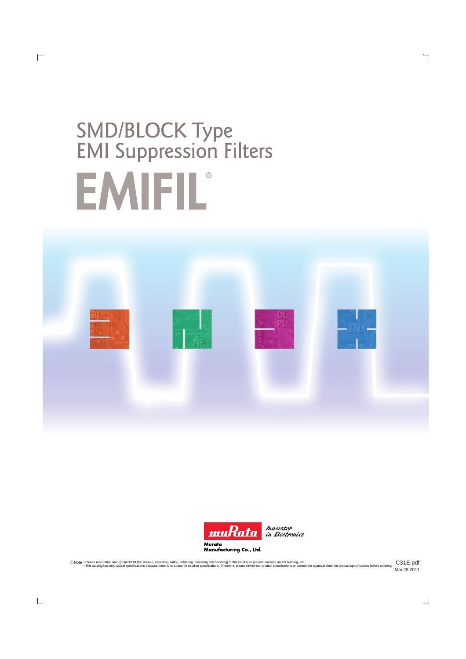# **SMD/BLOCK Type<br>EMI Suppression Filters** EMIFIL®



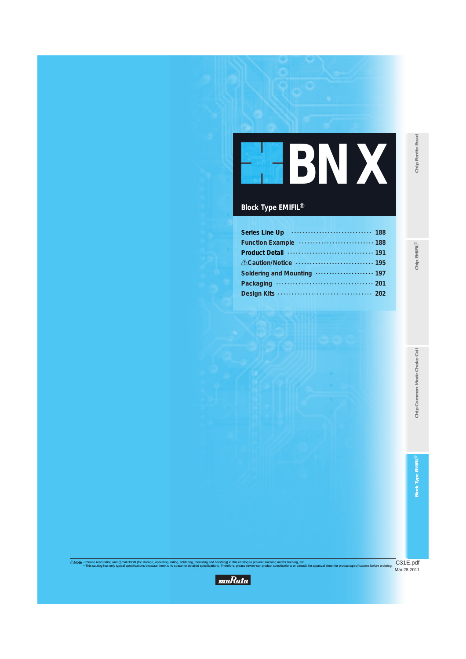## Chip EMIFIL®

# **BNX Block Type EMIFIL®**

#### **188 Series Line Up Function Example** ···························· 188 **191 Product Detail 195** !**Caution/Notice 197 Soldering and Mounting 201 Packaging 202 Design Kits**

the • Please read rating and ∆CAUTION (for storage, operating, rating, soldering, mounting and handling) in this catalog to prevent smoking and/or burning, etc. etc. provid the approval sheet for product specifications be

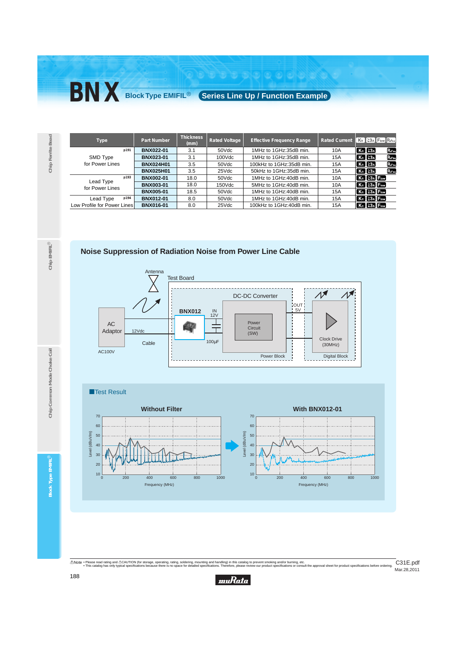### **BNX** Block Type EMIFIL<sup>®</sup> Series Line Up / Function Example

| Type                         | Part Number      | <b>Thickness</b><br>(mm) | Rated Voltage | <b>Effective Frequency Range</b> | <b>Rated Current</b> | $K_{it}$ $\leq$ 3A $\leq$ Flow $\leq$ Reflow |
|------------------------------|------------------|--------------------------|---------------|----------------------------------|----------------------|----------------------------------------------|
| p191                         | <b>BNX022-01</b> | 3.1                      | 50Vdc         | 1MHz to 1GHz:35dB min.           | 10A                  | $K_{it}$ $\leq$ 3A<br>ReFlow                 |
| SMD Type                     | <b>BNX023-01</b> | 3.1                      | $100$ $Vdc$   | 1MHz to 1GHz:35dB min.           | 15A                  | $K_{it}$ $\geq 3$ A<br>R <sub>eFow</sub>     |
| for Power Lines              | <b>BNX024H01</b> | 3.5                      | 50Vdc         | 100kHz to 1GHz:35dB min.         | 15A                  | $K_{it}$ $\geq 3$ A<br>R <sub>eFow</sub>     |
|                              | <b>BNX025H01</b> | 3.5                      | 25Vdc         | 50kHz to 1GHz:35dB min.          | 15A                  | $K_{it}$ $\geq$ 3A<br>ReFlow                 |
| p193                         | <b>BNX002-01</b> | 18.0                     | 50Vdc         | 1MHz to 1GHz: 40dB min.          | 10A                  | $K_{it} \geq 3$ Flow                         |
| Lead Type<br>for Power Lines | <b>BNX003-01</b> | 18.0                     | $150$ $Vdc$   | 5MHz to 1GHz: 40dB min.          | 10A                  | $K_{it}$ $\geq 3$ <sub>A</sub> $F_{low}$     |
|                              | <b>BNX005-01</b> | 18.5                     | 50Vdc         | 1MHz to 1GHz: 40dB min.          | 15A                  | $K_{ii}$ $\geq$ 3 <sub>A</sub> $F_{low}$     |
| p194<br>Lead Type            | <b>BNX012-01</b> | 8.0                      | 50Vdc         | 1MHz to 1GHz: 40dB min.          | 15A                  | $K_{it}$ $\geq 3$ <sub>A</sub> $F_{low}$     |
| Low Profile for Power Lines  | <b>BNX016-01</b> | 8.0                      | 25Vdc         | 100kHz to 1GHz:40dB min.         | 15A                  | $K_{it}$ $\geq 3$ <sub>A</sub> $F_{low}$     |





**Test Result** 

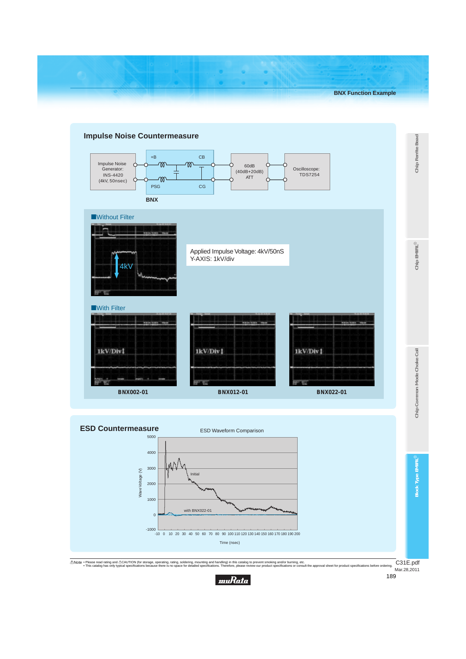#### **BNX Function Example**





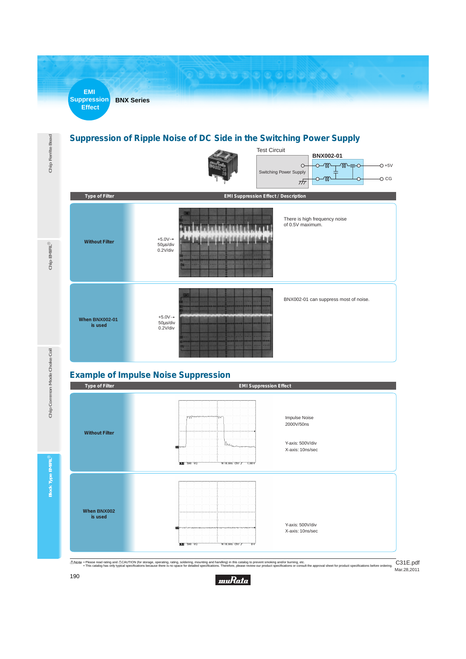#### **Suppression of Ripple Noise of DC Side in the Switching Power Supply**



#### Test Circuit



| Type of Filter            | <b>EMI Suppression Effect / Description</b>                                                                                                                                                                                                                                                                               |  |  |  |  |  |  |  |
|---------------------------|---------------------------------------------------------------------------------------------------------------------------------------------------------------------------------------------------------------------------------------------------------------------------------------------------------------------------|--|--|--|--|--|--|--|
| <b>Without Filter</b>     | There is high frequency noise<br>of 0.5V maximum.<br>$+5.0\vee \rightarrow$<br>50µs/div<br>0.2V/div<br><b>1999</b><br><b>THE REAL PROPERTY</b><br><b><i><u>Participal</u></i></b><br><b>TERRIT</b><br>,,,,,,,,,,,<br>---<br>$\overline{\phantom{a}}$<br><b>AMPERISTENT</b><br>.<br>1111<br><b>College</b>                 |  |  |  |  |  |  |  |
| When BNX002-01<br>is used | BNX002-01 can suppress most of noise.<br>m<br><b>Service</b><br><b>FRAME ARM</b><br>$+5.0V \rightarrow$<br>50µs/div<br>-------<br>. .<br>0.2V/div<br>.<br><b>Barbara</b><br>44-44<br>18844<br><b>ASSESSED FOR THE UPPER</b><br><b>CONTRACTOR</b><br>m<br><b>CONTRACTOR</b> PARK<br><b>APRIL 1989</b><br><b>TELEVISION</b> |  |  |  |  |  |  |  |

#### **Example of Impulse Noise Suppression**



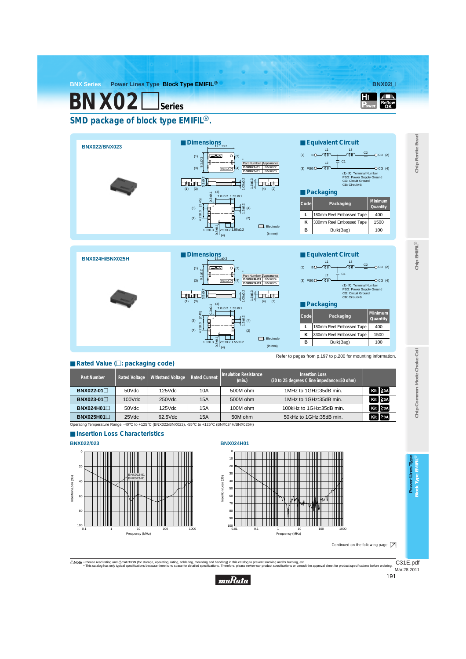### $\mathbf{BNX02}$  **Series**

#### **SMD package of block type EMIFIL<sup>®</sup>.**









| Codel | Packaging                | Minimum<br>Quantity |  |  |  |  |  |  |
|-------|--------------------------|---------------------|--|--|--|--|--|--|
| L     | 180mm Reel Embossed Tape | 400                 |  |  |  |  |  |  |
| κ     | 330mm Reel Embossed Tape | 1500                |  |  |  |  |  |  |
| в     | Bulk(Bag)                | 100                 |  |  |  |  |  |  |
|       |                          |                     |  |  |  |  |  |  |

Refer to pages from p.197 to p.200 for mounting information.

#### ■ Rated Value (□: packaging code)

| <b>Part Number</b> | Rated Voltage | Withstand Voltage | <b>Rated Current</b> | <b>Insulation Resistance</b><br>(min.) | <b>Insertion Loss</b><br>(20 to 25 degrees C line impedance=50 ohm) |         |
|--------------------|---------------|-------------------|----------------------|----------------------------------------|---------------------------------------------------------------------|---------|
| $BNX022-01$        | 50Vdc         | $125$ Vdc         | 10A                  | 500M ohm                               | 1MHz to 1GHz:35dB min.                                              | Kit ≧3A |
| $BNX023-01$        | $100$ $Vdc$   | 250Vdc            | 15A                  | 500M ohm                               | 1MHz to 1GHz:35dB min.                                              | Kit 23A |
| BNX024H01          | 50Vdc         | $125$ Vdc         | 15A                  | 100M ohm                               | 100kHz to 1GHz:35dB min.                                            | Kit 23A |
| BNX025H01          | $25$ Vdc      | 62.5Vdc           | 15A                  | 50M ohm                                | 50kHz to 1GHz:35dB min.                                             | Kit 23A |

Operating Temperature Range: -40°C to +125°C (BNX022/BNX023), -55°C to +125°C (BNX024H/BNX025H)

#### ■ **Insertion Loss Characteristics**



#### **BNX022/023 BNX024H01**



Continued on the following page.  $\boxed{\nearrow}$ 

<u>Hi</u>

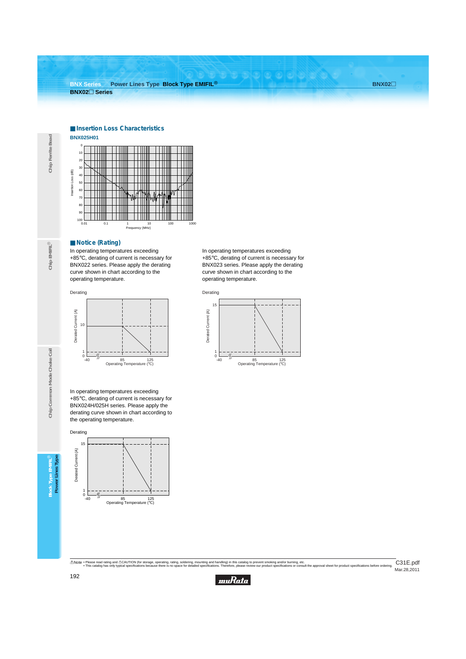#### ■ **Insertion Loss Characteristics**

**BNX025H01**



#### ■ **Notice (Rating)**

In operating temperatures exceeding +85°C, derating of current is necessary for BNX022 series. Please apply the derating curve shown in chart according to the operating temperature.

Derating



In operating temperatures exceeding +85°C, derating of current is necessary for BNX024H/025H series. Please apply the derating curve shown in chart according to the operating temperature.

Derating



In operating temperatures exceeding +85°C, derating of current is necessary for BNX023 series. Please apply the derating curve shown in chart according to the operating temperature.



Andre • Please read rating and ∆CAUTION (for storage, operating, rating, soldering, mounting and handling) in this catalog to prevent smoking and/or burning, etc. exailed specifications before ordering. C31E.pdf • This ca

Insertion Loss (dB)

Insertion Loss (dB)

Chip EMIFIL<sup>®</sup>

Chip EMIFIL®

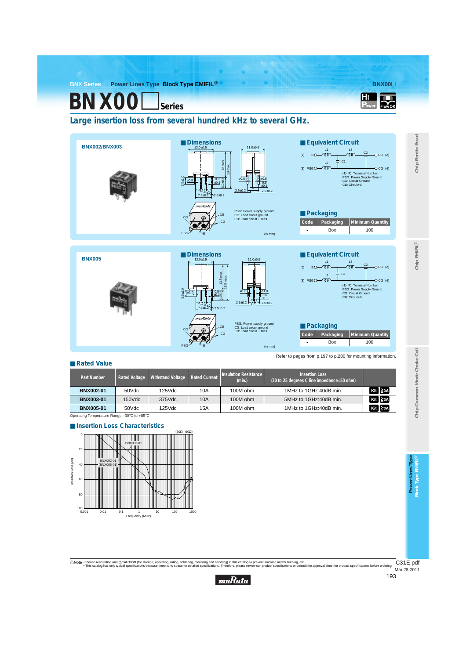四



**Large insertion loss from several hundred kHz to several GHz.**



#### ■ **Rated Value**

| Part Number      |           | Rated Voltage   Withstand Voltage   Rated Current |     | <b>Insulation Resistance</b><br>(min.) | Insertion Loss<br>(20 to 25 degrees C line impedance=50 ohm) |                                   |
|------------------|-----------|---------------------------------------------------|-----|----------------------------------------|--------------------------------------------------------------|-----------------------------------|
| <b>BNX002-01</b> | 50Vdc     | $125$ Vdc                                         | 10A | 100M ohm                               | 1MHz to 1GHz: 40dB min.                                      | Kit ≧3A                           |
| <b>BNX003-01</b> | $150$ Vdc | $375$ Vdc                                         | 10A | 100M ohm                               | 5MHz to 1GHz: 40dB min.                                      | $Kit$ $\geq 3A$                   |
| <b>BNX005-01</b> | 50Vdc     | $125$ Vdc                                         | 15A | 100M ohm                               | 1MHz to 1GHz: 40dB min.                                      | $\overline{\text{Kit}}$ $\geq$ 3A |

Operating Temperature Range: -30°C to +85°C

#### ■ **Insertion Loss Characteristics**



Andre • Please read rating and ∆CAUTION (for storage, operating, rating, soldering, mounting and handling) in this catalog to prevent smoking and/or burning, etc. exailed specifications before ordering. C31E.pdf • This ca

Chip Ferrite Bead

Chip EMIFIL<sup>®</sup>

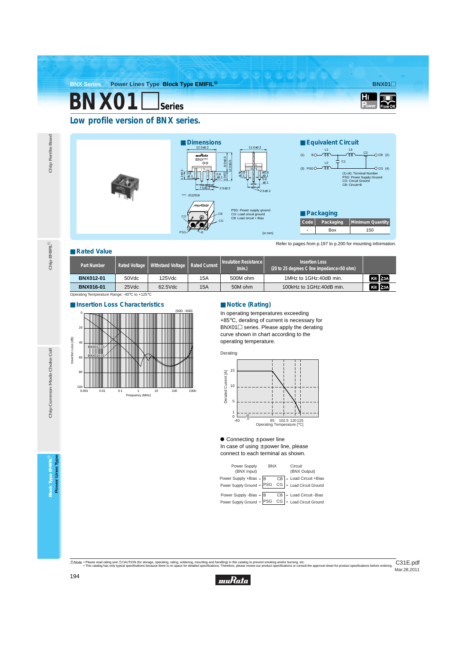**BNX01 D** Series

#### **Low profile version of BNX series.**



8.0±0.5 4.0±0.5

12.0±0.5

 $±0.1$ 

 $7.5 \pm 0.2$  2.5 $\pm 0.2$ 

ø0.8 ±0.1

 $\frac{0.8}{20.4}$   $\frac{3}{2}$   $\left| \frac{1}{20.1} \right|$   $\left| \frac{1}{20.1} \right|$   $\frac{1}{20.1}$ 

PSG: Power supply ground CG: Load circuit ground CB: Load circuit + Bias CG

12.0±0.2

 $\begin{array}{c}\n\overline{\n\text{mult}}\n\\ \n\text{BNX}^{\text{***}} \\
\text{ONX}^{\text{***}} \\
\text{OO}\n\end{array}$ 

 $\begin{array}{cc} \text{CG} & \text{OR} \end{array}$ 

ıRati

0.8  $±0.1$ 

\*\*\* : 012/016

 $PSG \wedge B$ 

3.2±0.5

■ **Packaging Code Packaging Minimum Quantity -** Box 150  $\frac{L_2}{2}$ L1 L3  $C_2$  $C<sub>1</sub>$  $B^{\Omega}$ (3)  $PSGO \rightarrow 00 \rightarrow \rightarrow \rightarrow \rightarrow$  OCG (4) (1) BO  $0 \rightarrow 00$   $\rightarrow 00$   $\rightarrow$  OCB (2)  $OCG (4)$ (1)-(4): Terminal Number PSG: Power Supply Ground CG: Circuit Ground CB: Circuit+B

Refer to pages from p.197 to p.200 for mounting information.

#### ■ **Rated Value**

| Part Number                                  | Rated Voltage | Withstand Voltage | <b>Rated Current</b> | <b>Insulation Resistance</b><br>(min.) | Insertion Loss<br>(20 to 25 degrees C line impedance=50 ohm) |         |  |
|----------------------------------------------|---------------|-------------------|----------------------|----------------------------------------|--------------------------------------------------------------|---------|--|
| <b>BNX012-01</b>                             | 50Vdc         | $125$ Vdc         | 15A                  | 500M ohm                               | 1MHz to 1GHz: 40dB min.                                      | Kit ≧3A |  |
| <b>BNX016-01</b>                             | $25$ Vdc      | 62.5Vdc           | 15A                  | 50M ohm                                | 100kHz to 1GHz:40dB min.                                     | Kit 23A |  |
| Operating Temperature Range: -40°C to +125°C |               |                   |                      |                                        |                                                              |         |  |

#### ■ **Insertion Loss Characteristics**



#### ■ **Notice (Rating)**

In operating temperatures exceeding +85°C, derating of current is necessary for  $BNX01 \square$  series. Please apply the derating curve shown in chart according to the operating temperature.

■ **Dimensions** ■ **Equivalent Circuit** 

 $11.0 + 0.2$ 

2.5±0.2 0.6  $±0.1$ 

(in mm)

ø0.8

Derating



 $\bullet$  Connecting  $\pm$  power line In case of using  $\pm$  power line, please connect to each terminal as shown.



Insertion Loss (dB)

Insertion Loss (dB)

**Chip Ferrite Bead**

Chip Ferrite Bead

Chip EMIFIL<sup>®</sup>

Chip EMIFIL®



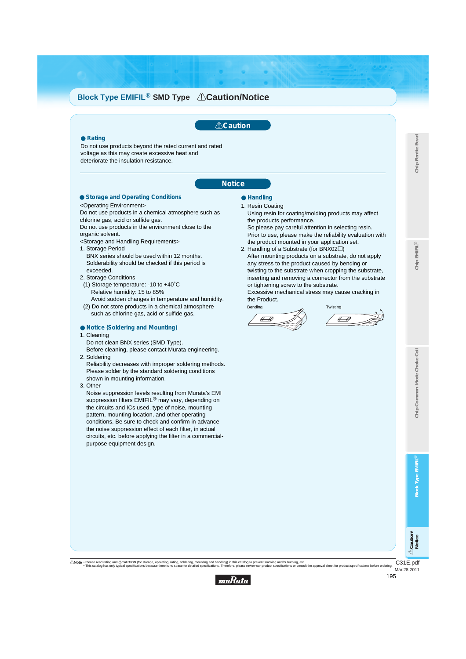#### !**Caution**

**Notice**

#### ● **Rating**

Do not use products beyond the rated current and rated voltage as this may create excessive heat and deteriorate the insulation resistance.

#### ● **Storage and Operating Conditions**

#### <Operating Environment>

Do not use products in a chemical atmosphere such as chlorine gas, acid or sulfide gas.

Do not use products in the environment close to the organic solvent.

<Storage and Handling Requirements>

- 1. Storage Period
	- BNX series should be used within 12 months. Solderability should be checked if this period is exceeded.
- 2. Storage Conditions
- (1) Storage temperature: -10 to +40˚C Relative humidity: 15 to 85% Avoid sudden changes in temperature and humidity.
- (2) Do not store products in a chemical atmosphere such as chlorine gas, acid or sulfide gas.

#### ● **Notice (Soldering and Mounting)**

1. Cleaning

Do not clean BNX series (SMD Type). Before cleaning, please contact Murata engineering.

2. Soldering

Reliability decreases with improper soldering methods. Please solder by the standard soldering conditions shown in mounting information.

3. Other

Noise suppression levels resulting from Murata's EMI suppression filters EMIFIL<sup>®</sup> may vary, depending on the circuits and ICs used, type of noise, mounting pattern, mounting location, and other operating conditions. Be sure to check and confirm in advance the noise suppression effect of each filter, in actual circuits, etc. before applying the filter in a commercialpurpose equipment design.

#### ● **Handling**

#### 1. Resin Coating

Using resin for coating/molding products may affect the products performance.

So please pay careful attention in selecting resin. Prior to use, please make the reliability evaluation with the product mounted in your application set.

2. Handling of a Substrate (for BNX02 $\square$ ) After mounting products on a substrate, do not apply any stress to the product caused by bending or twisting to the substrate when cropping the substrate, inserting and removing a connector from the substrate or tightening screw to the substrate.

Excessive mechanical stress may cause cracking in the Product.

Bending **Bending** Twisting  $4 - 4$ 



Chip EMIFIL<sup>®</sup>

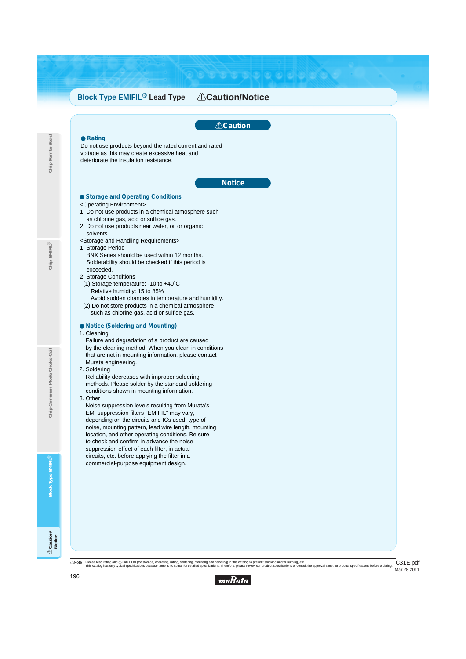#### !**Caution**

#### ● **Rating**

Do not use products beyond the rated current and rated voltage as this may create excessive heat and deteriorate the insulation resistance.

#### **Notice**

#### ● **Storage and Operating Conditions**

#### <Operating Environment>

- 1. Do not use products in a chemical atmosphere such as chlorine gas, acid or sulfide gas.
- 2. Do not use products near water, oil or organic solvents.
- <Storage and Handling Requirements>
- 1. Storage Period
	- BNX Series should be used within 12 months. Solderability should be checked if this period is exceeded.
- 2. Storage Conditions
	- (1) Storage temperature: -10 to +40˚C Relative humidity: 15 to 85% Avoid sudden changes in temperature and humidity.
	- (2) Do not store products in a chemical atmosphere such as chlorine gas, acid or sulfide gas.

#### ● **Notice (Soldering and Mounting)**

1. Cleaning

Failure and degradation of a product are caused by the cleaning method. When you clean in conditions that are not in mounting information, please contact Murata engineering.

2. Soldering

Reliability decreases with improper soldering methods. Please solder by the standard soldering conditions shown in mounting information.

3. Other

Noise suppression levels resulting from Murata's EMI suppression filters "EMIFIL" may vary, depending on the circuits and ICs used, type of noise, mounting pattern, lead wire length, mounting location, and other operating conditions. Be sure to check and confirm in advance the noise suppression effect of each filter, in actual circuits, etc. before applying the filter in a commercial-purpose equipment design.

**Block Type EMIFIL®** 

**Block Type EMIFIL** 

Andre • Please read rating and ∆CAUTION (for storage, operating, rating, soldering, mounting and handling) in this catalog to prevent smoking and/or burning, etc. exailed specifications before ordering. C31E.pdf • This ca



**Chip Common Mode Choke Coil**

Chip Common Mode Choke Coi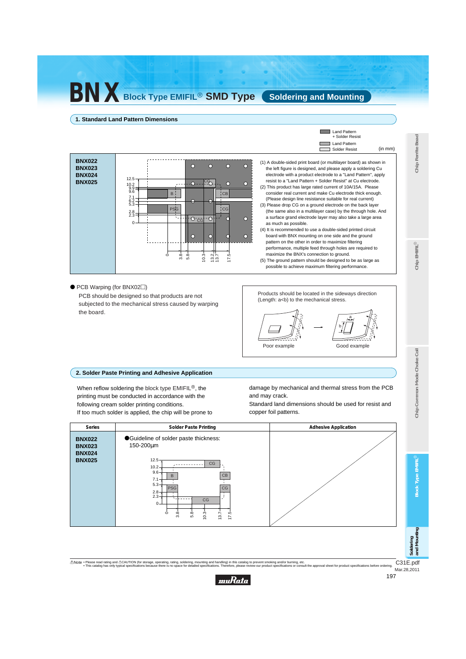#### **1. Standard Land Pattern Dimensions**



#### (1) A double-sided print board (or multilayer board) as shown in the left figure is designed, and please apply a soldering Cu electrode with a product electrode to a "Land Pattern", apply resist to a "Land Pattern + Solder Resist" at Cu electrode. (2) This product has large rated current of 10A/15A. Please Solder Resist (in mm)

Land Pattern Land Pattern + Solder Resist

- consider real current and make Cu electrode thick enough. (Please design line resistance suitable for real current) (3) Please drop CG on a ground electrode on the back layer
- (the same also in a multilayer case) by the through hole. And a surface grand electrode layer may also take a large area as much as possible.
- (4) It is recommended to use a double-sided printed circuit board with BNX mounting on one side and the ground pattern on the other in order to maximize filtering performance, multiple feed through holes are required to maximize the BNX's connection to ground.
- (5) The ground pattern should be designed to be as large as possible to achieve maximum filtering performance.





Good example

#### **2. Solder Paste Printing and Adhesive Application**

|                                                                  |                                                                                                                                                                                                                                                                                          | + Solder Resist                                                                                                                                                                                                                                                                                                                                                                                                                                                                                                                                                                                                                                                                                                                                                                                                                                                                                                                                                                                                                                                                                                                |
|------------------------------------------------------------------|------------------------------------------------------------------------------------------------------------------------------------------------------------------------------------------------------------------------------------------------------------------------------------------|--------------------------------------------------------------------------------------------------------------------------------------------------------------------------------------------------------------------------------------------------------------------------------------------------------------------------------------------------------------------------------------------------------------------------------------------------------------------------------------------------------------------------------------------------------------------------------------------------------------------------------------------------------------------------------------------------------------------------------------------------------------------------------------------------------------------------------------------------------------------------------------------------------------------------------------------------------------------------------------------------------------------------------------------------------------------------------------------------------------------------------|
|                                                                  |                                                                                                                                                                                                                                                                                          | Land Pattern<br>(in mm)<br><b>Solder Resist</b>                                                                                                                                                                                                                                                                                                                                                                                                                                                                                                                                                                                                                                                                                                                                                                                                                                                                                                                                                                                                                                                                                |
| <b>BNX022</b><br><b>BNX023</b><br><b>BNX024</b><br><b>BNX025</b> | О<br>О<br>$\circ$<br>12.5<br><u>င္</u> ေ<br>$\Theta$<br>$\circ$<br>$^{10.2}_{9.9}$ =<br>B<br>CB<br>$7.1$<br>6.2<br>5.3<br>⊖<br><b>PSG</b><br>CG<br>2.8.25<br>$\Theta$<br>$O$ -cal<br>$\mathbf 0$<br>$\circ$<br>$\overline{\bigcirc}$<br>CI<br>œ<br>5.8<br>Ó<br>10.3<br>13.7<br>17.5<br>ო | (1) A double-sided print board (or multilayer board) as shown in<br>О<br>the left figure is designed, and please apply a soldering Cu<br>electrode with a product electrode to a "Land Pattern", apply<br>resist to a "Land Pattern + Solder Resist" at Cu electrode.<br>$\circ$<br>(2) This product has large rated current of 10A/15A. Please<br>consider real current and make Cu electrode thick enough.<br>(Please design line resistance suitable for real current)<br>(3) Please drop CG on a ground electrode on the back layer<br>(the same also in a multilayer case) by the through hole. And<br>a surface grand electrode layer may also take a large area<br>$\Omega$<br>as much as possible.<br>(4) It is recommended to use a double-sided printed circuit<br>board with BNX mounting on one side and the ground<br>$\circ$<br>pattern on the other in order to maximize filtering<br>performance, multiple feed through holes are required to<br>maximize the BNX's connection to ground.<br>(5) The ground pattern should be designed to be as large as<br>possible to achieve maximum filtering performance. |
| ● PCB Warping (for BNX02□)<br>the board.                         | PCB should be designed so that products are not<br>subjected to the mechanical stress caused by warping                                                                                                                                                                                  | Products should be located in the sideways direction<br>(Length: a <b) mechanical="" stress.<br="" the="" to="">Good example<br/>Poor example</b)>                                                                                                                                                                                                                                                                                                                                                                                                                                                                                                                                                                                                                                                                                                                                                                                                                                                                                                                                                                             |
|                                                                  | 2. Solder Paste Printing and Adhesive Application                                                                                                                                                                                                                                        |                                                                                                                                                                                                                                                                                                                                                                                                                                                                                                                                                                                                                                                                                                                                                                                                                                                                                                                                                                                                                                                                                                                                |
|                                                                  | When reflow soldering the block type EMIFIL®, the<br>printing must be conducted in accordance with the<br>following cream solder printing conditions.<br>If too much solder is applied, the chip will be prone to                                                                        | damage by mechanical and thermal stress from the PCB<br>and may crack.<br>Standard land dimensions should be used for resist and<br>copper foil patterns.                                                                                                                                                                                                                                                                                                                                                                                                                                                                                                                                                                                                                                                                                                                                                                                                                                                                                                                                                                      |
| <b>Series</b>                                                    | <b>Solder Paste Printing</b>                                                                                                                                                                                                                                                             | <b>Adhesive Application</b>                                                                                                                                                                                                                                                                                                                                                                                                                                                                                                                                                                                                                                                                                                                                                                                                                                                                                                                                                                                                                                                                                                    |
| <b>BNX022</b><br><b>BNX023</b><br><b>BNX024</b><br><b>BNX025</b> | Guideline of solder paste thickness:<br>150-200µm<br>12.5<br>CG<br>10.2<br>9.6<br>CВ<br>7.1<br>5.3<br>PSG<br>CG<br>2.8<br>2.3<br>CG<br>$\mathbf 0$<br>0<br>က္                                                                                                                            |                                                                                                                                                                                                                                                                                                                                                                                                                                                                                                                                                                                                                                                                                                                                                                                                                                                                                                                                                                                                                                                                                                                                |
|                                                                  | 5.8<br>10.3<br>3.8<br>13.7<br>$\overline{1}$<br>to Note • Please read rating and ∆CAUTION (for storage, operating, rating, soldering, mounting and handling) in this catalog to prevent smoking and/or burning, etc.                                                                     | Soldering<br>and Mounting<br>C31E.pdf<br>. This catalog has only typical specifications because there is no space for detailed specifications. Therefore, please review our product specifications or consult the approval sheet for product specifications before orde<br>Mar.28,2011                                                                                                                                                                                                                                                                                                                                                                                                                                                                                                                                                                                                                                                                                                                                                                                                                                         |

Chip Ferrite Bead

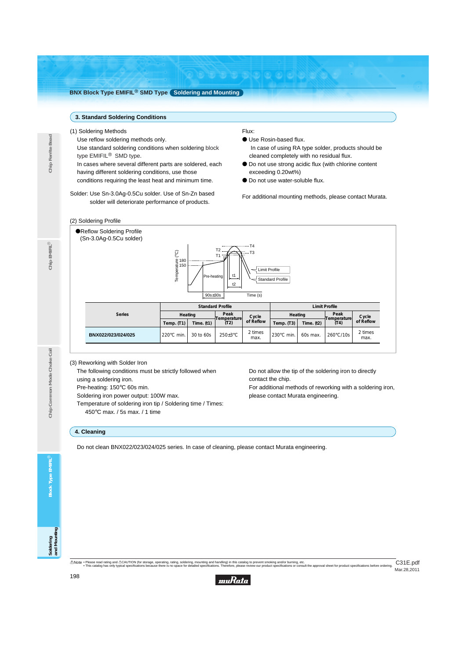#### **3. Standard Soldering Conditions**

#### (1) Soldering Methods

Use reflow soldering methods only.

Use standard soldering conditions when soldering block type EMIFIL<sup>®</sup> SMD type.

In cases where several different parts are soldered, each having different soldering conditions, use those conditions requiring the least heat and minimum time.

Solder: Use Sn-3.0Ag-0.5Cu solder. Use of Sn-Zn based solder will deteriorate performance of products.

#### Flux:

- Use Rosin-based flux. In case of using RA type solder, products should be cleaned completely with no residual flux.
- $\bullet$  Do not use strong acidic flux (with chlorine content exceeding 0.20wt%)
- $\bullet$  Do not use water-soluble flux.

For additional mounting methods, please contact Murata.

#### (2) Soldering Profile



(3) Reworking with Solder Iron

The following conditions must be strictly followed when using a soldering iron. Pre-heating: 150°C 60s min. Soldering iron power output: 100W max. Temperature of soldering iron tip / Soldering time / Times:

450°C max. / 5s max. / 1 time

Do not allow the tip of the soldering iron to directly contact the chip.

For additional methods of reworking with a soldering iron, please contact Murata engineering.

#### **4. Cleaning**

Do not clean BNX022/023/024/025 series. In case of cleaning, please contact Murata engineering.

Andre • Please read rating and ∆CAUTION (for storage, operating, rating, soldering, mounting and handling) in this catalog to prevent smoking and/or burning, etc. exailed specifications before ordering. C31E.pdf • This ca



**Block Type EMIFIL®** 

**Block Type EMIFIL** 

Chip EMIFIL<sup>®</sup>

Chip EMIFIL<sup>®</sup>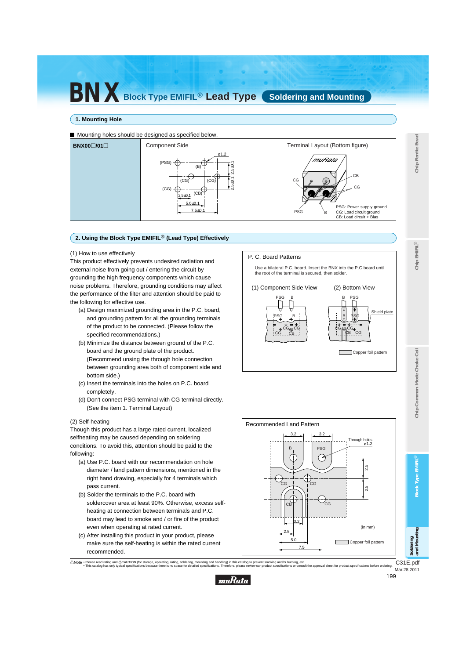#### **1. Mounting Hole**

#### **Mounting holes should be designed as specified below.**



#### 2. Using the Block Type EMIFIL<sup>®</sup> (Lead Type) Effectively

#### (1) How to use effectively

This product effectively prevents undesired radiation and external noise from going out / entering the circuit by grounding the high frequency components which cause noise problems. Therefore, grounding conditions may affect the performance of the filter and attention should be paid to the following for effective use.

- (a) Design maximized grounding area in the P.C. board, and grounding pattern for all the grounding terminals of the product to be connected. (Please follow the specified recommendations.)
- (b) Minimize the distance between ground of the P.C. board and the ground plate of the product. (Recommend unsing the through hole connection between grounding area both of component side and bottom side.)
- (c) Insert the terminals into the holes on P.C. board completely.
- (d) Don't connect PSG terminal with CG terminal directly. (See the item 1. Terminal Layout)

#### (2) Self-heating

Though this product has a large rated current, localized selfheating may be caused depending on soldering conditions. To avoid this, attention should be paid to the following:

- (a) Use P.C. board with our recommendation on hole diameter / land pattern dimensions, mentioned in the right hand drawing, especially for 4 terminals which pass current.
- (b) Solder the terminals to the P.C. board with soldercover area at least 90%. Otherwise, excess selfheating at connection between terminals and P.C. board may lead to smoke and / or fire of the product even when operating at rated current.
- (c) After installing this product in your product, please make sure the self-heating is within the rated current recommended.

#### P. C. Board Patterns

Use a bilateral P.C. board. Insert the BNX into the P.C.board until the root of the terminal is secured, then solder.





**Block Type EMIFIL** 



Andre • Please read rating and ∆CAUTION (for storage, operating, rating, soldering, mounting and handling) in this catalog to prevent smoking and/or burning, etc. exailed specifications before ordering. C31E.pdf • This ca



199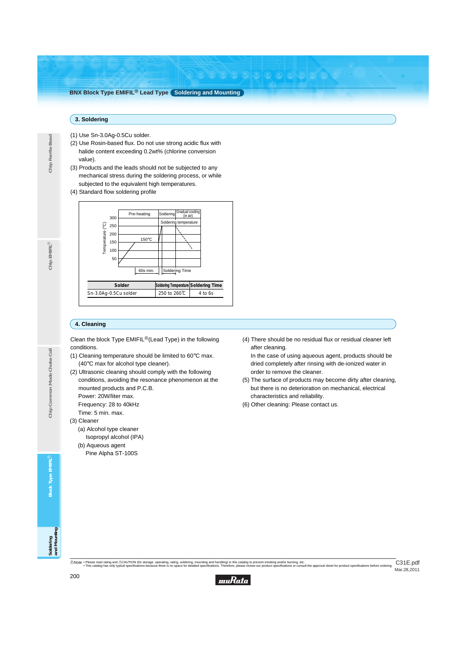#### **3. Soldering**

- (1) Use Sn-3.0Ag-0.5Cu solder.
- (2) Use Rosin-based flux. Do not use strong acidic flux with halide content exceeding 0.2wt% (chlorine conversion value).
- (3) Products and the leads should not be subjected to any mechanical stress during the soldering process, or while subjected to the equivalent high temperatures.
- (4) Standard flow soldering profile



#### **4. Cleaning**

Clean the block Type EMIFIL<sup>®</sup>(Lead Type) in the following conditions.

- (1) Cleaning temperature should be limited to 60°C max. (40°C max for alcohol type cleaner).
- (2) Ultrasonic cleaning should comply with the following conditions, avoiding the resonance phenomenon at the mounted products and P.C.B.

Power: 20W/liter max. Frequency: 28 to 40kHz

- Time: 5 min. max.
- (3) Cleaner
	- (a) Alcohol type cleaner
	- Isopropyl alcohol (IPA) (b) Aqueous agent
	- Pine Alpha ST-100S

(4) There should be no residual flux or residual cleaner left after cleaning.

In the case of using aqueous agent, products should be dried completely after rinsing with de-ionized water in order to remove the cleaner.

- (5) The surface of products may become dirty after cleaning, but there is no deterioration on mechanical, electrical characteristics and reliability.
- (6) Other cleaning: Please contact us.

**Soldering**<br>and Mounting **and Mounting**

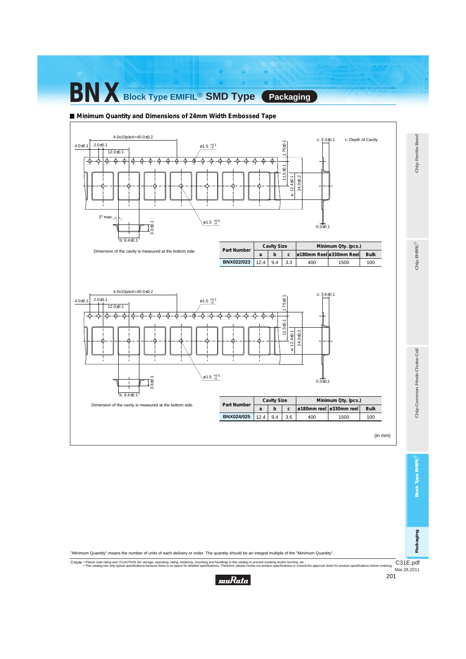$\mathbf{B}\mathbf{N}\mathbf{X}$  Block Type EMIFIL<sup>®</sup> SMD Type **Packaging**

#### **Minimum Quantity and Dimensions of 24mm Width Embossed Tape**



"Minimum Quantity" means the number of units of each delivery or order. The quantity should be an integral multiple of the "Minimum Quantity".

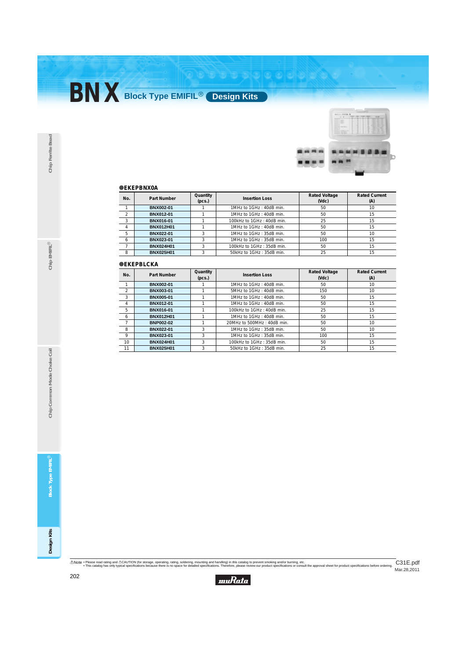### $\mathbf{B}\mathbf{N}\mathbf{X}$  Block Type EMIFIL<sup>®</sup> Design Kits



#### o**EKEPBNX0A**

| No. | Part Number      | Quantity<br>(pcs.) | <b>Insertion Loss</b>      | <b>Rated Voltage</b><br>(Vdc) | <b>Rated Current</b><br>(A) |
|-----|------------------|--------------------|----------------------------|-------------------------------|-----------------------------|
|     | <b>BNX002-01</b> |                    | 1MHz to 1GHz: 40dB min.    | 50                            | 10                          |
|     | <b>BNX012-01</b> |                    | 1MHz to 1GHz: 40dB min.    | 50                            | 15                          |
| C   | <b>BNX016-01</b> |                    | 100kHz to 1GHz: 40dB min.  | 25                            | 15                          |
|     | <b>BNX012H01</b> |                    | $1MHz$ to $1GHz:40dB$ min. | 50                            | 15                          |
| 5   | <b>BNX022-01</b> |                    | 1MHz to 1GHz: 35dB min.    | 50                            | 10                          |
| 6   | <b>BNX023-01</b> |                    | 1MHz to 1GHz: 35dB min.    | 100                           | 15                          |
|     | <b>BNX024H01</b> |                    | 100kHz to 1GHz: 35dB min.  | 50                            | 15                          |
| Զ   | <b>BNX025H01</b> |                    | 50kHz to 1GHz: 35dB min.   | 25                            | 15                          |

#### o**EKEPBLCKA**

| No.            | Part Number      | Quantity<br>(pcs.) | <b>Insertion Loss</b>      | <b>Rated Voltage</b><br>(Vdc) | <b>Rated Current</b><br>(A) |
|----------------|------------------|--------------------|----------------------------|-------------------------------|-----------------------------|
|                | BNX002-01        |                    | 1MHz to 1GHz: 40dB min.    | 50                            | 10                          |
| $\overline{2}$ | BNX003-01        |                    | 5MHz to 1GHz: 40dB min.    | 150                           | 10                          |
| 3              | <b>BNX005-01</b> |                    | 1MHz to 1GHz: 40dB min.    | 50                            | 15                          |
| $\overline{4}$ | <b>BNX012-01</b> |                    | $1MHz$ to $1GHz:40dB$ min. | 50                            | 15                          |
| 5              | <b>BNX016-01</b> |                    | 100kHz to 1GHz: 40dB min.  | 25                            | 15                          |
| 6              | <b>BNX012H01</b> |                    | $1MHz$ to $1GHz:40dB$ min. | 50                            | 15                          |
|                | <b>BNP002-02</b> |                    | 20MHz to 500MHz: 40dB min. | 50                            | 10                          |
| 8              | <b>BNX022-01</b> | 3                  | 1MHz to 1GHz: 35dB min.    | 50                            | 10                          |
| 9              | <b>BNX023-01</b> | 3                  | 1MHz to 1GHz: 35dB min.    | 100                           | 15                          |
| 10             | <b>BNX024H01</b> | 3                  | 100kHz to 1GHz: 35dB min.  | 50                            | 15                          |
| 11             | <b>BNX025H01</b> | 3                  | 50kHz to 1GHz: 35dB min.   | 25                            | 15                          |

**Chip Ferrite Bead**

Chip Ferrite Bead

Chip EMIFIL<sup>®</sup>

Chip EMIFIL®